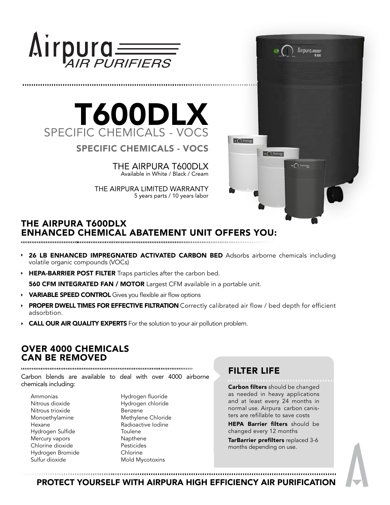

# T600DLX SPECIFIC CHEMICALS - VOCS

SPECIFIC CHEMICALS - VOCS

THE AIRPURA T600DLX Available in White / Black / Cream

THE AIRPURA LIMITED WARRANTY 5 years parts / 10 years labor



## THE AIRPURA T600DLX ENHANCED CHEMICAL ABATEMENT UNIT OFFERS YOU:

- 26 LB ENHANCED IMPREGNATED ACTIVATED CARBON BED Adsorbs airborne chemicals including volatile organic compounds (VOCs)
- HEPA-BARRIER POST FILTER Traps particles after the carbon bed.

**560 CFM INTEGRATED FAN / MOTOR** Largest CFM available in a portable unit.

- VARIABLE SPEED CONTROL Gives you flexible air flow options
- PROPER DWELL TIMES FOR EFFECTIVE FILTRATION Correctly calibrated air flow / bed depth for efficient adsorbtion.
- CALL OUR AIR QUALITY EXPERTS For the solution to your air pollution problem.  $\blacktriangleright$

## OVER 4000 CHEMICALS CAN BE REMOVED

Carbon blends are available to deal with over 4000 airborne chemicals including:

Ammonias Nitrous dioxide Nitrous trioxide Monoethylamine Hexane Hydrogen Sulfide Mercury vapors Chlorine dioxide Hydrogen Bromide Sulfur dioxide

Hydrogen fluoride Hydrogen chloride Benzene Methylene Chloride Radioactive Iodine Toulene Napthene Pesticides Chlorine Mold Mycotoxins

# FILTER LIFE

Carbon filters should be changed as needed in heavy applications and at least every 24 months in normal use. Airpura carbon canisters are refillable to save costs

HEPA Barrier filters should be changed every 12 months

TarBarrier prefilters replaced 3-6 months depending on use.

PROTECT YOURSELF WITH AIRPURA HIGH EFFICIENCY AIR PURIFICATION